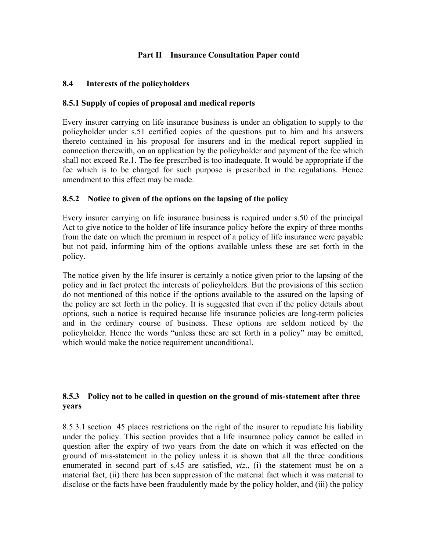### **Part II Insurance Consultation Paper contd**

### **8.4 Interests of the policyholders**

### **8.5.1 Supply of copies of proposal and medical reports**

Every insurer carrying on life insurance business is under an obligation to supply to the policyholder under s.51 certified copies of the questions put to him and his answers thereto contained in his proposal for insurers and in the medical report supplied in connection therewith, on an application by the policyholder and payment of the fee which shall not exceed Re.1. The fee prescribed is too inadequate. It would be appropriate if the fee which is to be charged for such purpose is prescribed in the regulations. Hence amendment to this effect may be made.

### **8.5.2 Notice to given of the options on the lapsing of the policy**

Every insurer carrying on life insurance business is required under s.50 of the principal Act to give notice to the holder of life insurance policy before the expiry of three months from the date on which the premium in respect of a policy of life insurance were payable but not paid, informing him of the options available unless these are set forth in the policy.

The notice given by the life insurer is certainly a notice given prior to the lapsing of the policy and in fact protect the interests of policyholders. But the provisions of this section do not mentioned of this notice if the options available to the assured on the lapsing of the policy are set forth in the policy. It is suggested that even if the policy details about options, such a notice is required because life insurance policies are long-term policies and in the ordinary course of business. These options are seldom noticed by the policyholder. Hence the words "unless these are set forth in a policy" may be omitted, which would make the notice requirement unconditional.

### **8.5.3 Policy not to be called in question on the ground of mis-statement after three years**

8.5.3.1 section 45 places restrictions on the right of the insurer to repudiate his liability under the policy. This section provides that a life insurance policy cannot be called in question after the expiry of two years from the date on which it was effected on the ground of mis-statement in the policy unless it is shown that all the three conditions enumerated in second part of s.45 are satisfied, *viz*., (i) the statement must be on a material fact, (ii) there has been suppression of the material fact which it was material to disclose or the facts have been fraudulently made by the policy holder, and (iii) the policy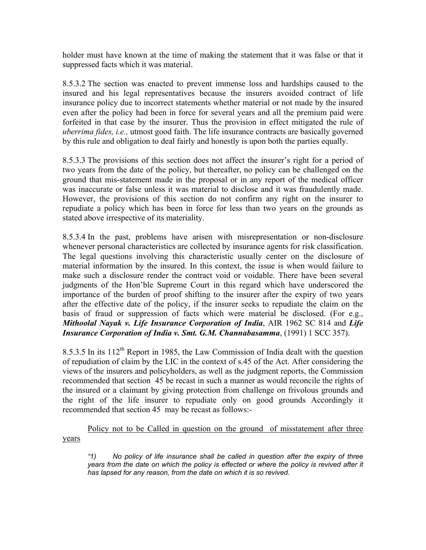holder must have known at the time of making the statement that it was false or that it suppressed facts which it was material.

8.5.3.2 The section was enacted to prevent immense loss and hardships caused to the insured and his legal representatives because the insurers avoided contract of life insurance policy due to incorrect statements whether material or not made by the insured even after the policy had been in force for several years and all the premium paid were forfeited in that case by the insurer. Thus the provision in effect mitigated the rule of *uberrima fides, i.e.,* utmost good faith. The life insurance contracts are basically governed by this rule and obligation to deal fairly and honestly is upon both the parties equally.

8.5.3.3 The provisions of this section does not affect the insurer's right for a period of two years from the date of the policy, but thereafter, no policy can be challenged on the ground that mis-statement made in the proposal or in any report of the medical officer was inaccurate or false unless it was material to disclose and it was fraudulently made. However, the provisions of this section do not confirm any right on the insurer to repudiate a policy which has been in force for less than two years on the grounds as stated above irrespective of its materiality.

8.5.3.4 In the past, problems have arisen with misrepresentation or non-disclosure whenever personal characteristics are collected by insurance agents for risk classification. The legal questions involving this characteristic usually center on the disclosure of material information by the insured. In this context, the issue is when would failure to make such a disclosure render the contract void or voidable. There have been several judgments of the Hon'ble Supreme Court in this regard which have underscored the importance of the burden of proof shifting to the insurer after the expiry of two years after the effective date of the policy, if the insurer seeks to repudiate the claim on the basis of fraud or suppression of facts which were material be disclosed. (For e.g., *Mithoolal Nayak v. Life Insurance Corporation of India*, AIR 1962 SC 814 and *Life Insurance Corporation of India v. Smt. G.M. Channabasamma*, (1991) 1 SCC 357).

8.5.3.5 In its 112<sup>th</sup> Report in 1985, the Law Commission of India dealt with the question of repudiation of claim by the LIC in the context of s.45 of the Act. After considering the views of the insurers and policyholders, as well as the judgment reports, the Commission recommended that section 45 be recast in such a manner as would reconcile the rights of the insured or a claimant by giving protection from challenge on frivolous grounds and the right of the life insurer to repudiate only on good grounds Accordingly it recommended that section 45 may be recast as follows:-

Policy not to be Called in question on the ground of misstatement after three years

*"1) No policy of life insurance shall be called in question after the expiry of three years from the date on which the policy is effected or where the policy is revived after it has lapsed for any reason, from the date on which it is so revived.*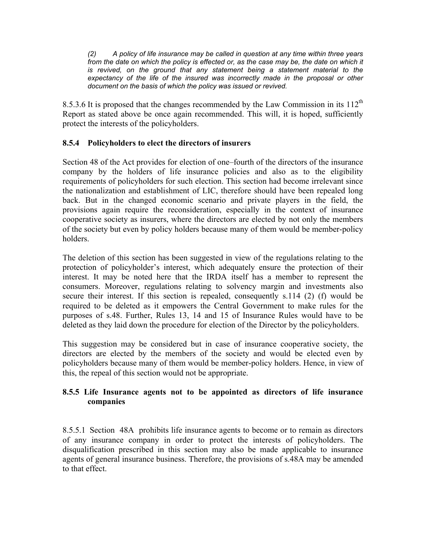*(2) A policy of life insurance may be called in question at any time within three years*  from the date on which the policy is effected or, as the case may be, the date on which it *is revived, on the ground that any statement being a statement material to the expectancy of the life of the insured was incorrectly made in the proposal or other document on the basis of which the policy was issued or revived.* 

8.5.3.6 It is proposed that the changes recommended by the Law Commission in its  $112^{th}$ Report as stated above be once again recommended. This will, it is hoped, sufficiently protect the interests of the policyholders.

## **8.5.4 Policyholders to elect the directors of insurers**

Section 48 of the Act provides for election of one–fourth of the directors of the insurance company by the holders of life insurance policies and also as to the eligibility requirements of policyholders for such election. This section had become irrelevant since the nationalization and establishment of LIC, therefore should have been repealed long back. But in the changed economic scenario and private players in the field, the provisions again require the reconsideration, especially in the context of insurance cooperative society as insurers, where the directors are elected by not only the members of the society but even by policy holders because many of them would be member-policy holders.

The deletion of this section has been suggested in view of the regulations relating to the protection of policyholder's interest, which adequately ensure the protection of their interest. It may be noted here that the IRDA itself has a member to represent the consumers. Moreover, regulations relating to solvency margin and investments also secure their interest. If this section is repealed, consequently s.114 (2) (f) would be required to be deleted as it empowers the Central Government to make rules for the purposes of s.48. Further, Rules 13, 14 and 15 of Insurance Rules would have to be deleted as they laid down the procedure for election of the Director by the policyholders.

This suggestion may be considered but in case of insurance cooperative society, the directors are elected by the members of the society and would be elected even by policyholders because many of them would be member-policy holders. Hence, in view of this, the repeal of this section would not be appropriate.

### **8.5.5 Life Insurance agents not to be appointed as directors of life insurance companies**

8.5.5.1 Section 48A prohibits life insurance agents to become or to remain as directors of any insurance company in order to protect the interests of policyholders. The disqualification prescribed in this section may also be made applicable to insurance agents of general insurance business. Therefore, the provisions of s.48A may be amended to that effect.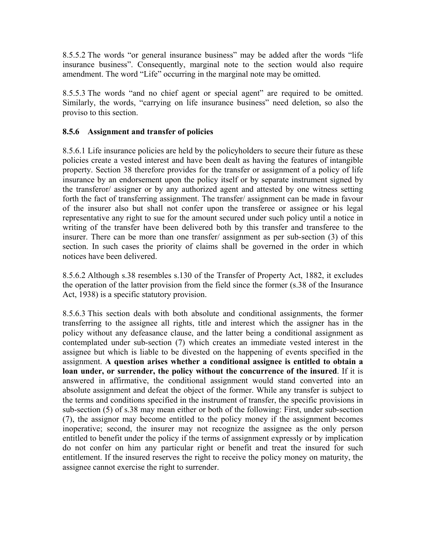8.5.5.2 The words "or general insurance business" may be added after the words "life insurance business". Consequently, marginal note to the section would also require amendment. The word "Life" occurring in the marginal note may be omitted.

8.5.5.3 The words "and no chief agent or special agent" are required to be omitted. Similarly, the words, "carrying on life insurance business" need deletion, so also the proviso to this section.

## **8.5.6 Assignment and transfer of policies**

8.5.6.1 Life insurance policies are held by the policyholders to secure their future as these policies create a vested interest and have been dealt as having the features of intangible property. Section 38 therefore provides for the transfer or assignment of a policy of life insurance by an endorsement upon the policy itself or by separate instrument signed by the transferor/ assigner or by any authorized agent and attested by one witness setting forth the fact of transferring assignment. The transfer/ assignment can be made in favour of the insurer also but shall not confer upon the transferee or assignee or his legal representative any right to sue for the amount secured under such policy until a notice in writing of the transfer have been delivered both by this transfer and transferee to the insurer. There can be more than one transfer/ assignment as per sub-section (3) of this section. In such cases the priority of claims shall be governed in the order in which notices have been delivered.

8.5.6.2 Although s.38 resembles s.130 of the Transfer of Property Act, 1882, it excludes the operation of the latter provision from the field since the former (s.38 of the Insurance Act, 1938) is a specific statutory provision.

8.5.6.3 This section deals with both absolute and conditional assignments, the former transferring to the assignee all rights, title and interest which the assigner has in the policy without any defeasance clause, and the latter being a conditional assignment as contemplated under sub-section (7) which creates an immediate vested interest in the assignee but which is liable to be divested on the happening of events specified in the assignment. **A question arises whether a conditional assignee is entitled to obtain a loan under, or surrender, the policy without the concurrence of the insured**. If it is answered in affirmative, the conditional assignment would stand converted into an absolute assignment and defeat the object of the former. While any transfer is subject to the terms and conditions specified in the instrument of transfer, the specific provisions in sub-section (5) of s.38 may mean either or both of the following: First, under sub-section (7), the assignor may become entitled to the policy money if the assignment becomes inoperative; second, the insurer may not recognize the assignee as the only person entitled to benefit under the policy if the terms of assignment expressly or by implication do not confer on him any particular right or benefit and treat the insured for such entitlement. If the insured reserves the right to receive the policy money on maturity, the assignee cannot exercise the right to surrender.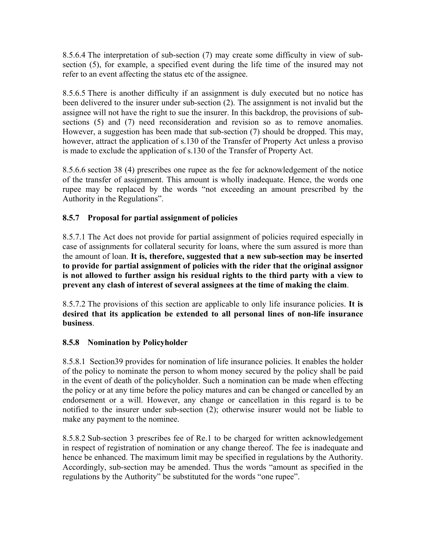8.5.6.4 The interpretation of sub-section (7) may create some difficulty in view of subsection (5), for example, a specified event during the life time of the insured may not refer to an event affecting the status etc of the assignee.

8.5.6.5 There is another difficulty if an assignment is duly executed but no notice has been delivered to the insurer under sub-section (2). The assignment is not invalid but the assignee will not have the right to sue the insurer. In this backdrop, the provisions of subsections (5) and (7) need reconsideration and revision so as to remove anomalies. However, a suggestion has been made that sub-section (7) should be dropped. This may, however, attract the application of s.130 of the Transfer of Property Act unless a proviso is made to exclude the application of s.130 of the Transfer of Property Act.

8.5.6.6 section 38 (4) prescribes one rupee as the fee for acknowledgement of the notice of the transfer of assignment. This amount is wholly inadequate. Hence, the words one rupee may be replaced by the words "not exceeding an amount prescribed by the Authority in the Regulations".

# **8.5.7 Proposal for partial assignment of policies**

8.5.7.1 The Act does not provide for partial assignment of policies required especially in case of assignments for collateral security for loans, where the sum assured is more than the amount of loan. **It is, therefore, suggested that a new sub-section may be inserted to provide for partial assignment of policies with the rider that the original assignor is not allowed to further assign his residual rights to the third party with a view to prevent any clash of interest of several assignees at the time of making the claim**.

8.5.7.2 The provisions of this section are applicable to only life insurance policies. **It is desired that its application be extended to all personal lines of non-life insurance business**.

### **8.5.8 Nomination by Policyholder**

8.5.8.1 Section39 provides for nomination of life insurance policies. It enables the holder of the policy to nominate the person to whom money secured by the policy shall be paid in the event of death of the policyholder. Such a nomination can be made when effecting the policy or at any time before the policy matures and can be changed or cancelled by an endorsement or a will. However, any change or cancellation in this regard is to be notified to the insurer under sub-section (2); otherwise insurer would not be liable to make any payment to the nominee.

8.5.8.2 Sub-section 3 prescribes fee of Re.1 to be charged for written acknowledgement in respect of registration of nomination or any change thereof. The fee is inadequate and hence be enhanced. The maximum limit may be specified in regulations by the Authority. Accordingly, sub-section may be amended. Thus the words "amount as specified in the regulations by the Authority" be substituted for the words "one rupee".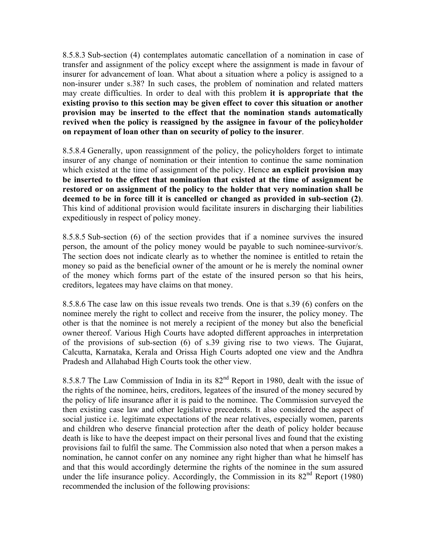8.5.8.3 Sub-section (4) contemplates automatic cancellation of a nomination in case of transfer and assignment of the policy except where the assignment is made in favour of insurer for advancement of loan. What about a situation where a policy is assigned to a non-insurer under s.38? In such cases, the problem of nomination and related matters may create difficulties. In order to deal with this problem **it is appropriate that the existing proviso to this section may be given effect to cover this situation or another provision may be inserted to the effect that the nomination stands automatically revived when the policy is reassigned by the assignee in favour of the policyholder on repayment of loan other than on security of policy to the insurer**.

8.5.8.4 Generally, upon reassignment of the policy, the policyholders forget to intimate insurer of any change of nomination or their intention to continue the same nomination which existed at the time of assignment of the policy. Hence **an explicit provision may be inserted to the effect that nomination that existed at the time of assignment be restored or on assignment of the policy to the holder that very nomination shall be deemed to be in force till it is cancelled or changed as provided in sub-section (2)**. This kind of additional provision would facilitate insurers in discharging their liabilities expeditiously in respect of policy money.

8.5.8.5 Sub-section (6) of the section provides that if a nominee survives the insured person, the amount of the policy money would be payable to such nominee-survivor/s. The section does not indicate clearly as to whether the nominee is entitled to retain the money so paid as the beneficial owner of the amount or he is merely the nominal owner of the money which forms part of the estate of the insured person so that his heirs, creditors, legatees may have claims on that money.

8.5.8.6 The case law on this issue reveals two trends. One is that s.39 (6) confers on the nominee merely the right to collect and receive from the insurer, the policy money. The other is that the nominee is not merely a recipient of the money but also the beneficial owner thereof. Various High Courts have adopted different approaches in interpretation of the provisions of sub-section (6) of s.39 giving rise to two views. The Gujarat, Calcutta, Karnataka, Kerala and Orissa High Courts adopted one view and the Andhra Pradesh and Allahabad High Courts took the other view.

8.5.8.7 The Law Commission of India in its 82<sup>nd</sup> Report in 1980, dealt with the issue of the rights of the nominee, heirs, creditors, legatees of the insured of the money secured by the policy of life insurance after it is paid to the nominee. The Commission surveyed the then existing case law and other legislative precedents. It also considered the aspect of social justice i.e. legitimate expectations of the near relatives, especially women, parents and children who deserve financial protection after the death of policy holder because death is like to have the deepest impact on their personal lives and found that the existing provisions fail to fulfil the same. The Commission also noted that when a person makes a nomination, he cannot confer on any nominee any right higher than what he himself has and that this would accordingly determine the rights of the nominee in the sum assured under the life insurance policy. Accordingly, the Commission in its 82<sup>nd</sup> Report (1980) recommended the inclusion of the following provisions: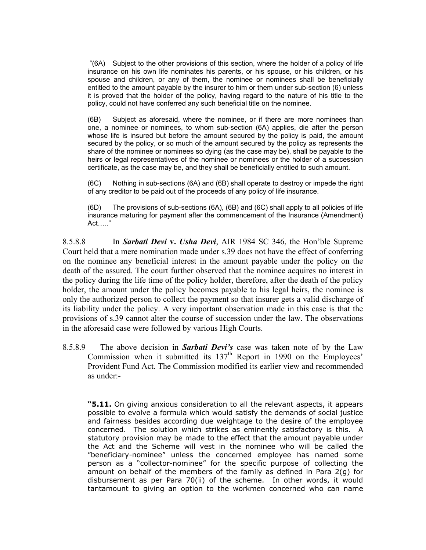"(6A) Subject to the other provisions of this section, where the holder of a policy of life insurance on his own life nominates his parents, or his spouse, or his children, or his spouse and children, or any of them, the nominee or nominees shall be beneficially entitled to the amount payable by the insurer to him or them under sub-section (6) unless it is proved that the holder of the policy, having regard to the nature of his title to the policy, could not have conferred any such beneficial title on the nominee.

(6B) Subject as aforesaid, where the nominee, or if there are more nominees than one, a nominee or nominees, to whom sub-section (6A) applies, die after the person whose life is insured but before the amount secured by the policy is paid, the amount secured by the policy, or so much of the amount secured by the policy as represents the share of the nominee or nominees so dying (as the case may be), shall be payable to the heirs or legal representatives of the nominee or nominees or the holder of a succession certificate, as the case may be, and they shall be beneficially entitled to such amount.

(6C) Nothing in sub-sections (6A) and (6B) shall operate to destroy or impede the right of any creditor to be paid out of the proceeds of any policy of life insurance.

(6D) The provisions of sub-sections (6A), (6B) and (6C) shall apply to all policies of life insurance maturing for payment after the commencement of the Insurance (Amendment) Act….."

8.5.8.8 In *Sarbati Devi* **v.** *Usha Devi*, AIR 1984 SC 346, the Hon'ble Supreme Court held that a mere nomination made under s.39 does not have the effect of conferring on the nominee any beneficial interest in the amount payable under the policy on the death of the assured. The court further observed that the nominee acquires no interest in the policy during the life time of the policy holder, therefore, after the death of the policy holder, the amount under the policy becomes payable to his legal heirs, the nominee is only the authorized person to collect the payment so that insurer gets a valid discharge of its liability under the policy. A very important observation made in this case is that the provisions of s.39 cannot alter the course of succession under the law. The observations in the aforesaid case were followed by various High Courts.

8.5.8.9 The above decision in *Sarbati Devi's* case was taken note of by the Law Commission when it submitted its  $137<sup>th</sup>$  Report in 1990 on the Employees' Provident Fund Act. The Commission modified its earlier view and recommended as under:-

**"5.11.** On giving anxious consideration to all the relevant aspects, it appears possible to evolve a formula which would satisfy the demands of social justice and fairness besides according due weightage to the desire of the employee concerned. The solution which strikes as eminently satisfactory is this. A statutory provision may be made to the effect that the amount payable under the Act and the Scheme will vest in the nominee who will be called the "beneficiary-nominee" unless the concerned employee has named some person as a "collector-nominee" for the specific purpose of collecting the amount on behalf of the members of the family as defined in Para 2(g) for disbursement as per Para 70(ii) of the scheme. In other words, it would tantamount to giving an option to the workmen concerned who can name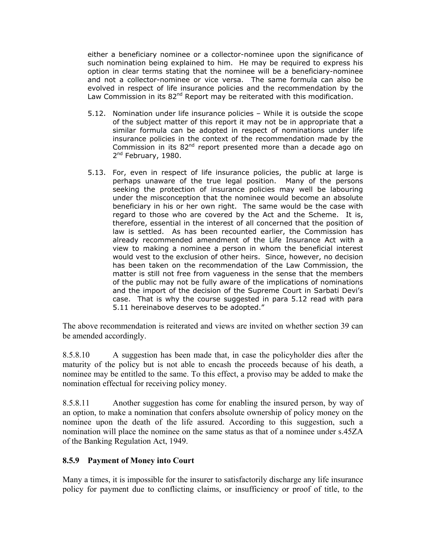either a beneficiary nominee or a collector-nominee upon the significance of such nomination being explained to him. He may be required to express his option in clear terms stating that the nominee will be a beneficiary-nominee and not a collector-nominee or vice versa. The same formula can also be evolved in respect of life insurance policies and the recommendation by the Law Commission in its  $82^{nd}$  Report may be reiterated with this modification.

- 5.12. Nomination under life insurance policies While it is outside the scope of the subject matter of this report it may not be in appropriate that a similar formula can be adopted in respect of nominations under life insurance policies in the context of the recommendation made by the Commission in its  $82<sup>nd</sup>$  report presented more than a decade ago on 2<sup>nd</sup> February, 1980.
- 5.13. For, even in respect of life insurance policies, the public at large is perhaps unaware of the true legal position. Many of the persons seeking the protection of insurance policies may well be labouring under the misconception that the nominee would become an absolute beneficiary in his or her own right. The same would be the case with regard to those who are covered by the Act and the Scheme. It is, therefore, essential in the interest of all concerned that the position of law is settled. As has been recounted earlier, the Commission has already recommended amendment of the Life Insurance Act with a view to making a nominee a person in whom the beneficial interest would vest to the exclusion of other heirs. Since, however, no decision has been taken on the recommendation of the Law Commission, the matter is still not free from vagueness in the sense that the members of the public may not be fully aware of the implications of nominations and the import of the decision of the Supreme Court in Sarbati Devi's case. That is why the course suggested in para 5.12 read with para 5.11 hereinabove deserves to be adopted."

The above recommendation is reiterated and views are invited on whether section 39 can be amended accordingly.

8.5.8.10 A suggestion has been made that, in case the policyholder dies after the maturity of the policy but is not able to encash the proceeds because of his death, a nominee may be entitled to the same. To this effect, a proviso may be added to make the nomination effectual for receiving policy money.

8.5.8.11 Another suggestion has come for enabling the insured person, by way of an option, to make a nomination that confers absolute ownership of policy money on the nominee upon the death of the life assured. According to this suggestion, such a nomination will place the nominee on the same status as that of a nominee under s.45ZA of the Banking Regulation Act, 1949.

### **8.5.9 Payment of Money into Court**

Many a times, it is impossible for the insurer to satisfactorily discharge any life insurance policy for payment due to conflicting claims, or insufficiency or proof of title, to the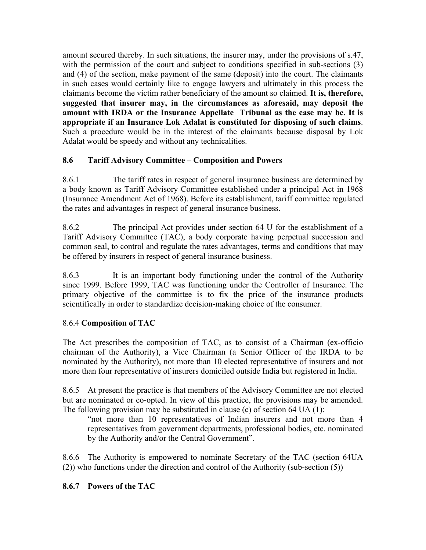amount secured thereby. In such situations, the insurer may, under the provisions of s.47, with the permission of the court and subject to conditions specified in sub-sections (3) and (4) of the section, make payment of the same (deposit) into the court. The claimants in such cases would certainly like to engage lawyers and ultimately in this process the claimants become the victim rather beneficiary of the amount so claimed. **It is, therefore, suggested that insurer may, in the circumstances as aforesaid, may deposit the amount with IRDA or the Insurance Appellate Tribunal as the case may be. It is appropriate if an Insurance Lok Adalat is constituted for disposing of such claims**. Such a procedure would be in the interest of the claimants because disposal by Lok Adalat would be speedy and without any technicalities.

# **8.6 Tariff Advisory Committee – Composition and Powers**

8.6.1 The tariff rates in respect of general insurance business are determined by a body known as Tariff Advisory Committee established under a principal Act in 1968 (Insurance Amendment Act of 1968). Before its establishment, tariff committee regulated the rates and advantages in respect of general insurance business.

8.6.2 The principal Act provides under section 64 U for the establishment of a Tariff Advisory Committee (TAC), a body corporate having perpetual succession and common seal, to control and regulate the rates advantages, terms and conditions that may be offered by insurers in respect of general insurance business.

8.6.3 It is an important body functioning under the control of the Authority since 1999. Before 1999, TAC was functioning under the Controller of Insurance. The primary objective of the committee is to fix the price of the insurance products scientifically in order to standardize decision-making choice of the consumer.

# 8.6.4 **Composition of TAC**

The Act prescribes the composition of TAC, as to consist of a Chairman (ex-officio chairman of the Authority), a Vice Chairman (a Senior Officer of the IRDA to be nominated by the Authority), not more than 10 elected representative of insurers and not more than four representative of insurers domiciled outside India but registered in India.

8.6.5 At present the practice is that members of the Advisory Committee are not elected but are nominated or co-opted. In view of this practice, the provisions may be amended. The following provision may be substituted in clause (c) of section 64 UA (1):

"not more than 10 representatives of Indian insurers and not more than 4 representatives from government departments, professional bodies, etc. nominated by the Authority and/or the Central Government".

8.6.6 The Authority is empowered to nominate Secretary of the TAC (section 64UA (2)) who functions under the direction and control of the Authority (sub-section (5))

# **8.6.7 Powers of the TAC**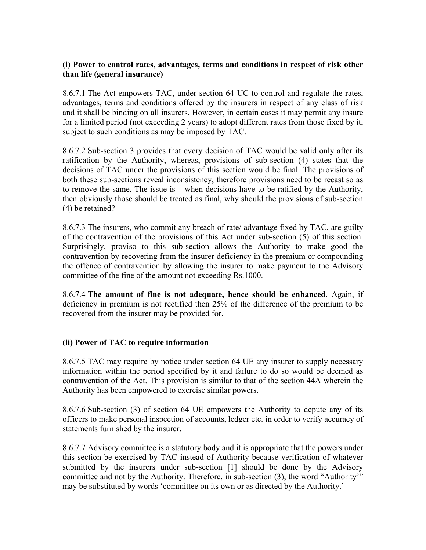### **(i) Power to control rates, advantages, terms and conditions in respect of risk other than life (general insurance)**

8.6.7.1 The Act empowers TAC, under section 64 UC to control and regulate the rates, advantages, terms and conditions offered by the insurers in respect of any class of risk and it shall be binding on all insurers. However, in certain cases it may permit any insure for a limited period (not exceeding 2 years) to adopt different rates from those fixed by it, subject to such conditions as may be imposed by TAC.

8.6.7.2 Sub-section 3 provides that every decision of TAC would be valid only after its ratification by the Authority, whereas, provisions of sub-section (4) states that the decisions of TAC under the provisions of this section would be final. The provisions of both these sub-sections reveal inconsistency, therefore provisions need to be recast so as to remove the same. The issue is – when decisions have to be ratified by the Authority, then obviously those should be treated as final, why should the provisions of sub-section (4) be retained?

8.6.7.3 The insurers, who commit any breach of rate/ advantage fixed by TAC, are guilty of the contravention of the provisions of this Act under sub-section (5) of this section. Surprisingly, proviso to this sub-section allows the Authority to make good the contravention by recovering from the insurer deficiency in the premium or compounding the offence of contravention by allowing the insurer to make payment to the Advisory committee of the fine of the amount not exceeding Rs.1000.

8.6.7.4 **The amount of fine is not adequate, hence should be enhanced**. Again, if deficiency in premium is not rectified then 25% of the difference of the premium to be recovered from the insurer may be provided for.

### **(ii) Power of TAC to require information**

8.6.7.5 TAC may require by notice under section 64 UE any insurer to supply necessary information within the period specified by it and failure to do so would be deemed as contravention of the Act. This provision is similar to that of the section 44A wherein the Authority has been empowered to exercise similar powers.

8.6.7.6 Sub-section (3) of section 64 UE empowers the Authority to depute any of its officers to make personal inspection of accounts, ledger etc. in order to verify accuracy of statements furnished by the insurer.

8.6.7.7 Advisory committee is a statutory body and it is appropriate that the powers under this section be exercised by TAC instead of Authority because verification of whatever submitted by the insurers under sub-section [1] should be done by the Advisory committee and not by the Authority. Therefore, in sub-section (3), the word "Authority'" may be substituted by words 'committee on its own or as directed by the Authority.'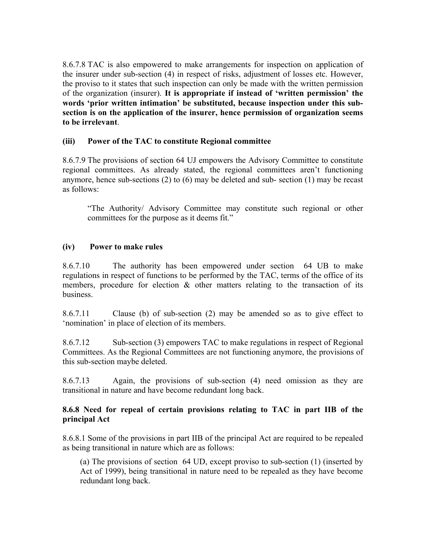8.6.7.8 TAC is also empowered to make arrangements for inspection on application of the insurer under sub-section (4) in respect of risks, adjustment of losses etc. However, the proviso to it states that such inspection can only be made with the written permission of the organization (insurer). **It is appropriate if instead of 'written permission' the words 'prior written intimation' be substituted, because inspection under this subsection is on the application of the insurer, hence permission of organization seems to be irrelevant**.

### **(iii) Power of the TAC to constitute Regional committee**

8.6.7.9 The provisions of section 64 UJ empowers the Advisory Committee to constitute regional committees. As already stated, the regional committees aren't functioning anymore, hence sub-sections (2) to (6) may be deleted and sub- section (1) may be recast as follows:

"The Authority/ Advisory Committee may constitute such regional or other committees for the purpose as it deems fit."

#### **(iv) Power to make rules**

8.6.7.10 The authority has been empowered under section 64 UB to make regulations in respect of functions to be performed by the TAC, terms of the office of its members, procedure for election  $\&$  other matters relating to the transaction of its business.

8.6.7.11 Clause (b) of sub-section (2) may be amended so as to give effect to 'nomination' in place of election of its members.

8.6.7.12 Sub-section (3) empowers TAC to make regulations in respect of Regional Committees. As the Regional Committees are not functioning anymore, the provisions of this sub-section maybe deleted.

8.6.7.13 Again, the provisions of sub-section (4) need omission as they are transitional in nature and have become redundant long back.

#### **8.6.8 Need for repeal of certain provisions relating to TAC in part IIB of the principal Act**

8.6.8.1 Some of the provisions in part IIB of the principal Act are required to be repealed as being transitional in nature which are as follows:

(a) The provisions of section 64 UD, except proviso to sub-section (1) (inserted by Act of 1999), being transitional in nature need to be repealed as they have become redundant long back.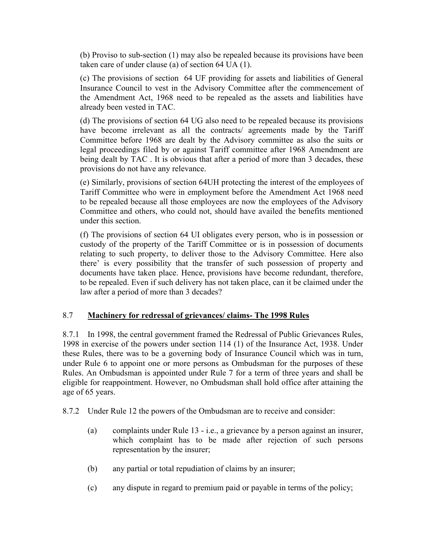(b) Proviso to sub-section (1) may also be repealed because its provisions have been taken care of under clause (a) of section 64 UA (1).

(c) The provisions of section 64 UF providing for assets and liabilities of General Insurance Council to vest in the Advisory Committee after the commencement of the Amendment Act, 1968 need to be repealed as the assets and liabilities have already been vested in TAC.

(d) The provisions of section 64 UG also need to be repealed because its provisions have become irrelevant as all the contracts/ agreements made by the Tariff Committee before 1968 are dealt by the Advisory committee as also the suits or legal proceedings filed by or against Tariff committee after 1968 Amendment are being dealt by TAC . It is obvious that after a period of more than 3 decades, these provisions do not have any relevance.

(e) Similarly, provisions of section 64UH protecting the interest of the employees of Tariff Committee who were in employment before the Amendment Act 1968 need to be repealed because all those employees are now the employees of the Advisory Committee and others, who could not, should have availed the benefits mentioned under this section.

(f) The provisions of section 64 UI obligates every person, who is in possession or custody of the property of the Tariff Committee or is in possession of documents relating to such property, to deliver those to the Advisory Committee. Here also there' is every possibility that the transfer of such possession of property and documents have taken place. Hence, provisions have become redundant, therefore, to be repealed. Even if such delivery has not taken place, can it be claimed under the law after a period of more than 3 decades?

### 8.7 **Machinery for redressal of grievances/ claims- The 1998 Rules**

8.7.1 In 1998, the central government framed the Redressal of Public Grievances Rules, 1998 in exercise of the powers under section 114 (1) of the Insurance Act, 1938. Under these Rules, there was to be a governing body of Insurance Council which was in turn, under Rule 6 to appoint one or more persons as Ombudsman for the purposes of these Rules. An Ombudsman is appointed under Rule 7 for a term of three years and shall be eligible for reappointment. However, no Ombudsman shall hold office after attaining the age of 65 years.

8.7.2 Under Rule 12 the powers of the Ombudsman are to receive and consider:

- (a) complaints under Rule 13 i.e., a grievance by a person against an insurer, which complaint has to be made after rejection of such persons representation by the insurer;
- (b) any partial or total repudiation of claims by an insurer;
- (c) any dispute in regard to premium paid or payable in terms of the policy;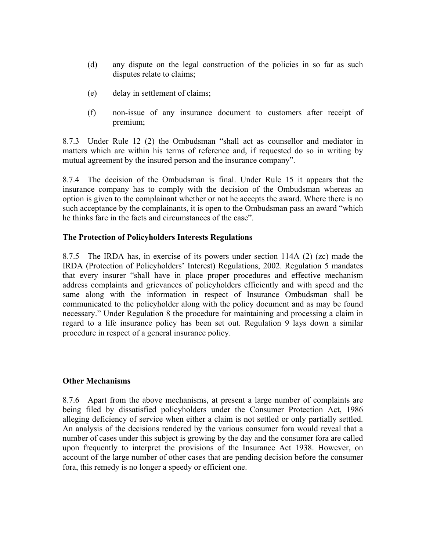- (d) any dispute on the legal construction of the policies in so far as such disputes relate to claims;
- (e) delay in settlement of claims;
- (f) non-issue of any insurance document to customers after receipt of premium;

8.7.3 Under Rule 12 (2) the Ombudsman "shall act as counsellor and mediator in matters which are within his terms of reference and, if requested do so in writing by mutual agreement by the insured person and the insurance company".

8.7.4 The decision of the Ombudsman is final. Under Rule 15 it appears that the insurance company has to comply with the decision of the Ombudsman whereas an option is given to the complainant whether or not he accepts the award. Where there is no such acceptance by the complainants, it is open to the Ombudsman pass an award "which he thinks fare in the facts and circumstances of the case".

### **The Protection of Policyholders Interests Regulations**

8.7.5 The IRDA has, in exercise of its powers under section 114A (2) (zc) made the IRDA (Protection of Policyholders' Interest) Regulations, 2002. Regulation 5 mandates that every insurer "shall have in place proper procedures and effective mechanism address complaints and grievances of policyholders efficiently and with speed and the same along with the information in respect of Insurance Ombudsman shall be communicated to the policyholder along with the policy document and as may be found necessary." Under Regulation 8 the procedure for maintaining and processing a claim in regard to a life insurance policy has been set out. Regulation 9 lays down a similar procedure in respect of a general insurance policy.

#### **Other Mechanisms**

8.7.6 Apart from the above mechanisms, at present a large number of complaints are being filed by dissatisfied policyholders under the Consumer Protection Act, 1986 alleging deficiency of service when either a claim is not settled or only partially settled. An analysis of the decisions rendered by the various consumer fora would reveal that a number of cases under this subject is growing by the day and the consumer fora are called upon frequently to interpret the provisions of the Insurance Act 1938. However, on account of the large number of other cases that are pending decision before the consumer fora, this remedy is no longer a speedy or efficient one.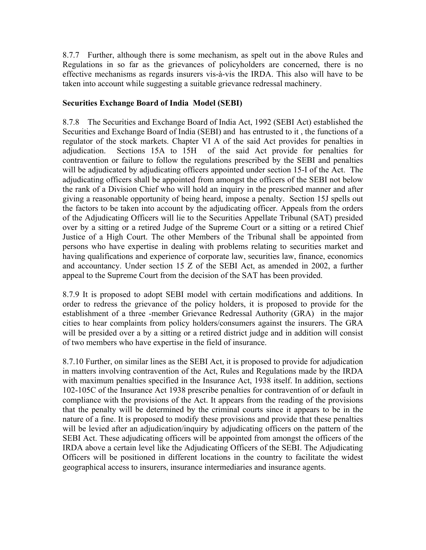8.7.7 Further, although there is some mechanism, as spelt out in the above Rules and Regulations in so far as the grievances of policyholders are concerned, there is no effective mechanisms as regards insurers vis-à-vis the IRDA. This also will have to be taken into account while suggesting a suitable grievance redressal machinery.

### **Securities Exchange Board of India Model (SEBI)**

8.7.8 The Securities and Exchange Board of India Act, 1992 (SEBI Act) established the Securities and Exchange Board of India (SEBI) and has entrusted to it , the functions of a regulator of the stock markets. Chapter VI A of the said Act provides for penalties in adjudication. Sections 15A to 15H of the said Act provide for penalties for contravention or failure to follow the regulations prescribed by the SEBI and penalties will be adjudicated by adjudicating officers appointed under section 15-I of the Act. The adjudicating officers shall be appointed from amongst the officers of the SEBI not below the rank of a Division Chief who will hold an inquiry in the prescribed manner and after giving a reasonable opportunity of being heard, impose a penalty. Section 15J spells out the factors to be taken into account by the adjudicating officer. Appeals from the orders of the Adjudicating Officers will lie to the Securities Appellate Tribunal (SAT) presided over by a sitting or a retired Judge of the Supreme Court or a sitting or a retired Chief Justice of a High Court. The other Members of the Tribunal shall be appointed from persons who have expertise in dealing with problems relating to securities market and having qualifications and experience of corporate law, securities law, finance, economics and accountancy. Under section 15 Z of the SEBI Act, as amended in 2002, a further appeal to the Supreme Court from the decision of the SAT has been provided.

8.7.9 It is proposed to adopt SEBI model with certain modifications and additions. In order to redress the grievance of the policy holders, it is proposed to provide for the establishment of a three -member Grievance Redressal Authority (GRA) in the major cities to hear complaints from policy holders/consumers against the insurers. The GRA will be presided over a by a sitting or a retired district judge and in addition will consist of two members who have expertise in the field of insurance.

8.7.10 Further, on similar lines as the SEBI Act, it is proposed to provide for adjudication in matters involving contravention of the Act, Rules and Regulations made by the IRDA with maximum penalties specified in the Insurance Act, 1938 itself. In addition, sections 102-105C of the Insurance Act 1938 prescribe penalties for contravention of or default in compliance with the provisions of the Act. It appears from the reading of the provisions that the penalty will be determined by the criminal courts since it appears to be in the nature of a fine. It is proposed to modify these provisions and provide that these penalties will be levied after an adjudication/inquiry by adjudicating officers on the pattern of the SEBI Act. These adjudicating officers will be appointed from amongst the officers of the IRDA above a certain level like the Adjudicating Officers of the SEBI. The Adjudicating Officers will be positioned in different locations in the country to facilitate the widest geographical access to insurers, insurance intermediaries and insurance agents.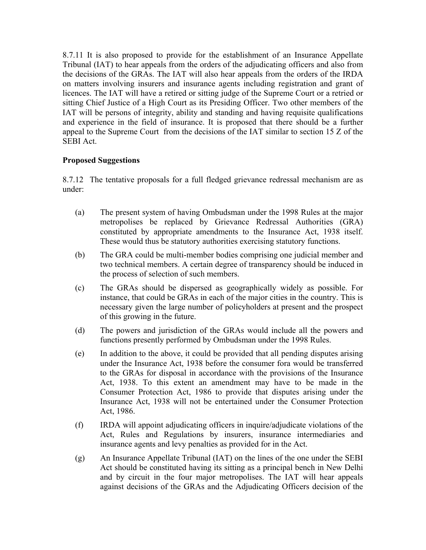8.7.11 It is also proposed to provide for the establishment of an Insurance Appellate Tribunal (IAT) to hear appeals from the orders of the adjudicating officers and also from the decisions of the GRAs. The IAT will also hear appeals from the orders of the IRDA on matters involving insurers and insurance agents including registration and grant of licences. The IAT will have a retired or sitting judge of the Supreme Court or a retried or sitting Chief Justice of a High Court as its Presiding Officer. Two other members of the IAT will be persons of integrity, ability and standing and having requisite qualifications and experience in the field of insurance. It is proposed that there should be a further appeal to the Supreme Court from the decisions of the IAT similar to section 15 Z of the SEBI Act.

## **Proposed Suggestions**

8.7.12 The tentative proposals for a full fledged grievance redressal mechanism are as under:

- (a) The present system of having Ombudsman under the 1998 Rules at the major metropolises be replaced by Grievance Redressal Authorities (GRA) constituted by appropriate amendments to the Insurance Act, 1938 itself. These would thus be statutory authorities exercising statutory functions.
- (b) The GRA could be multi-member bodies comprising one judicial member and two technical members. A certain degree of transparency should be induced in the process of selection of such members.
- (c) The GRAs should be dispersed as geographically widely as possible. For instance, that could be GRAs in each of the major cities in the country. This is necessary given the large number of policyholders at present and the prospect of this growing in the future.
- (d) The powers and jurisdiction of the GRAs would include all the powers and functions presently performed by Ombudsman under the 1998 Rules.
- (e) In addition to the above, it could be provided that all pending disputes arising under the Insurance Act, 1938 before the consumer fora would be transferred to the GRAs for disposal in accordance with the provisions of the Insurance Act, 1938. To this extent an amendment may have to be made in the Consumer Protection Act, 1986 to provide that disputes arising under the Insurance Act, 1938 will not be entertained under the Consumer Protection Act, 1986.
- (f) IRDA will appoint adjudicating officers in inquire/adjudicate violations of the Act, Rules and Regulations by insurers, insurance intermediaries and insurance agents and levy penalties as provided for in the Act.
- (g) An Insurance Appellate Tribunal (IAT) on the lines of the one under the SEBI Act should be constituted having its sitting as a principal bench in New Delhi and by circuit in the four major metropolises. The IAT will hear appeals against decisions of the GRAs and the Adjudicating Officers decision of the